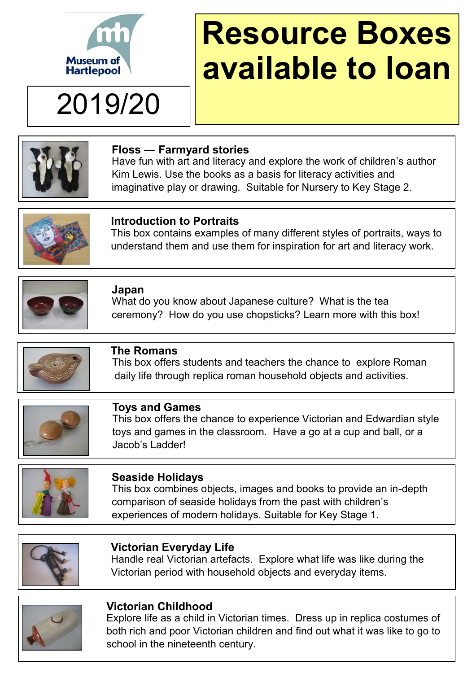

2019/20

# **Resource Boxes available to loan**



#### **Floss — Farmyard stories**

Have fun with art and literacy and explore the work of children's author Kim Lewis. Use the books as a basis for literacy activities and imaginative play or drawing. Suitable for Nursery to Key Stage 2.



#### **Introduction to Portraits**

This box contains examples of many different styles of portraits, ways to understand them and use them for inspiration for art and literacy work.



#### **Japan**

What do you know about Japanese culture? What is the tea ceremony? How do you use chopsticks? Learn more with this box!



#### **The Romans**

 This box offers students and teachers the chance to explore Roman daily life through replica roman household objects and activities.



#### **Toys and Games**

This box offers the chance to experience Victorian and Edwardian style toys and games in the classroom. Have a go at a cup and ball, or a Jacob's Ladder!



#### **Seaside Holidays**

This box combines objects, images and books to provide an in-depth comparison of seaside holidays from the past with children's experiences of modern holidays. Suitable for Key Stage 1.



#### **Victorian Everyday Life**

Handle real Victorian artefacts. Explore what life was like during the Victorian period with household objects and everyday items.



#### **Victorian Childhood**

Explore life as a child in Victorian times. Dress up in replica costumes of both rich and poor Victorian children and find out what it was like to go to school in the nineteenth century.